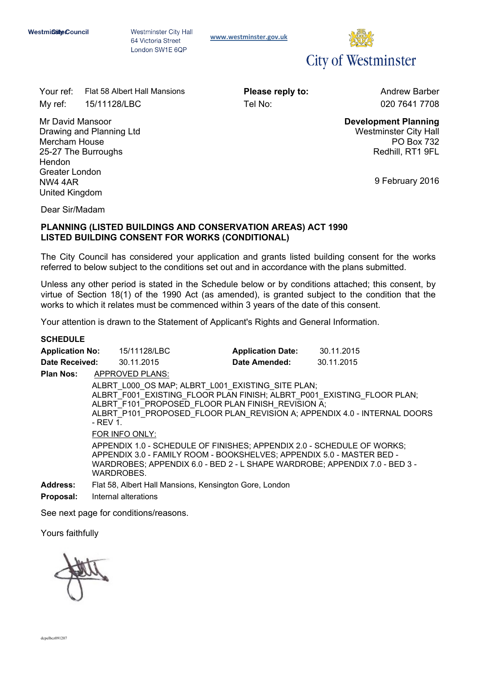Westminster City Hall 64 Victoria Street London SW1E 6QP

**[www.westminster.gov.uk](http://www.westminster.gov.uk/)**



Your ref: Flat 58 Albert Hall Mansions **Please reply to:** Andrew Barber My ref: 15/11128/LBC Tel No: 020 7641 7708

Mr David Mansoor Drawing and Planning Ltd Mercham House 25-27 The Burroughs **Hendon** Greater London NW4 4AR United Kingdom

**Development Planning** Westminster City Hall PO Box 732 Redhill, RT1 9FL

9 February 2016

Dear Sir/Madam

### **PLANNING (LISTED BUILDINGS AND CONSERVATION AREAS) ACT 1990 LISTED BUILDING CONSENT FOR WORKS (CONDITIONAL)**

The City Council has considered your application and grants listed building consent for the works referred to below subject to the conditions set out and in accordance with the plans submitted.

Unless any other period is stated in the Schedule below or by conditions attached; this consent, by virtue of Section 18(1) of the 1990 Act (as amended), is granted subject to the condition that the works to which it relates must be commenced within 3 years of the date of this consent.

Your attention is drawn to the Statement of Applicant's Rights and General Information.

### **SCHEDULE**

| <b>Application No:</b> | 15/11128/LBC                                                                                                                                                                                                                                                             | <b>Application Date:</b> | 30.11.2015 |  |
|------------------------|--------------------------------------------------------------------------------------------------------------------------------------------------------------------------------------------------------------------------------------------------------------------------|--------------------------|------------|--|
| Date Received:         | 30.11.2015                                                                                                                                                                                                                                                               | Date Amended:            | 30.11.2015 |  |
| <b>Plan Nos:</b>       | APPROVED PLANS:                                                                                                                                                                                                                                                          |                          |            |  |
|                        | ALBRT L000 OS MAP; ALBRT L001 EXISTING SITE PLAN;<br>ALBRT_F001_EXISTING_FLOOR PLAN FINISH; ALBRT_P001_EXISTING_FLOOR PLAN;<br>ALBRT F101 PROPOSED FLOOR PLAN FINISH REVISION A;<br>ALBRT P101 PROPOSED FLOOR PLAN REVISION A; APPENDIX 4.0 - INTERNAL DOORS<br>- REV 1. |                          |            |  |
|                        | FOR INFO ONLY:                                                                                                                                                                                                                                                           |                          |            |  |
|                        | APPENDIX 1.0 - SCHEDLILE OF FINISHES: APPENDIX 2.0 - SCHEDLILE OF WORKS:                                                                                                                                                                                                 |                          |            |  |

APPENDIX 1.0 - SCHEDULE OF FINISHES; APPENDIX 2.0 - SCHEDULE OF WORKS; APPENDIX 3.0 - FAMILY ROOM - BOOKSHELVES; APPENDIX 5.0 - MASTER BED - WARDROBES; APPENDIX 6.0 - BED 2 - L SHAPE WARDROBE; APPENDIX 7.0 - BED 3 - WARDROBES.

**Address:** Flat 58, Albert Hall Mansions, Kensington Gore, London

**Proposal:** Internal alterations

See next page for conditions/reasons.

Yours faithfully

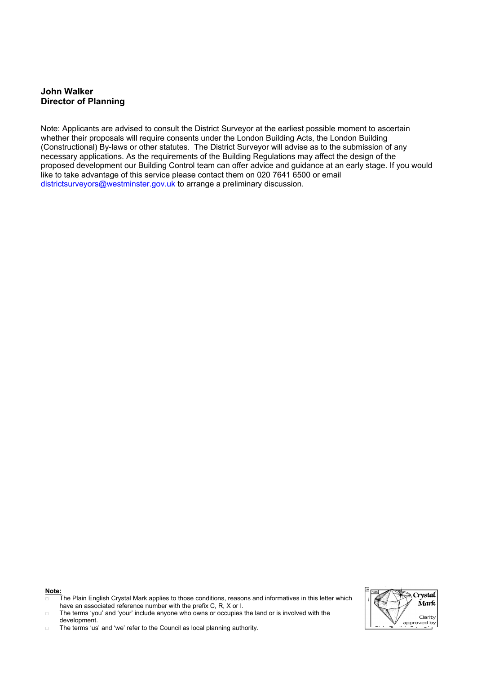### **John Walker Director of Planning**

Note: Applicants are advised to consult the District Surveyor at the earliest possible moment to ascertain whether their proposals will require consents under the London Building Acts, the London Building (Constructional) By-laws or other statutes. The District Surveyor will advise as to the submission of any necessary applications. As the requirements of the Building Regulations may affect the design of the proposed development our Building Control team can offer advice and guidance at an early stage. If you would like to take advantage of this service please contact them on 020 7641 6500 or email [districtsurveyors@westminster.gov.uk](mailto:districtsurveyors@westminster.gov.uk) to arrange a preliminary discussion.



The Plain English Crystal Mark applies to those conditions, reasons and informatives in this letter which have an associated reference number with the prefix C, R, X or I.

The terms 'you' and 'your' include anyone who owns or occupies the land or is involved with the development.

 $\square$  The terms 'us' and 'we' refer to the Council as local planning authority.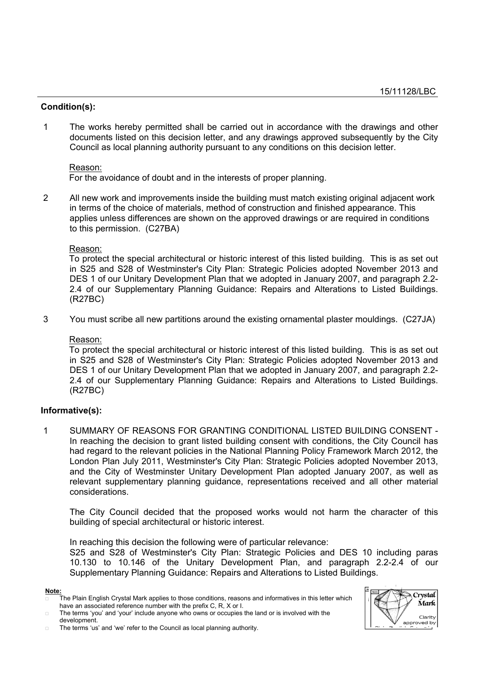## **Condition(s):**

1 The works hereby permitted shall be carried out in accordance with the drawings and other documents listed on this decision letter, and any drawings approved subsequently by the City Council as local planning authority pursuant to any conditions on this decision letter.

### Reason:

For the avoidance of doubt and in the interests of proper planning.

2 All new work and improvements inside the building must match existing original adjacent work in terms of the choice of materials, method of construction and finished appearance. This applies unless differences are shown on the approved drawings or are required in conditions to this permission. (C27BA)

### Reason:

To protect the special architectural or historic interest of this listed building. This is as set out in S25 and S28 of Westminster's City Plan: Strategic Policies adopted November 2013 and DES 1 of our Unitary Development Plan that we adopted in January 2007, and paragraph 2.2- 2.4 of our Supplementary Planning Guidance: Repairs and Alterations to Listed Buildings. (R27BC)

3 You must scribe all new partitions around the existing ornamental plaster mouldings. (C27JA)

### Reason:

To protect the special architectural or historic interest of this listed building. This is as set out in S25 and S28 of Westminster's City Plan: Strategic Policies adopted November 2013 and DES 1 of our Unitary Development Plan that we adopted in January 2007, and paragraph 2.2- 2.4 of our Supplementary Planning Guidance: Repairs and Alterations to Listed Buildings. (R27BC)

## **Informative(s):**

1 SUMMARY OF REASONS FOR GRANTING CONDITIONAL LISTED BUILDING CONSENT - In reaching the decision to grant listed building consent with conditions, the City Council has had regard to the relevant policies in the National Planning Policy Framework March 2012, the London Plan July 2011, Westminster's City Plan: Strategic Policies adopted November 2013, and the City of Westminster Unitary Development Plan adopted January 2007, as well as relevant supplementary planning guidance, representations received and all other material considerations.

The City Council decided that the proposed works would not harm the character of this building of special architectural or historic interest.

In reaching this decision the following were of particular relevance:

S25 and S28 of Westminster's City Plan: Strategic Policies and DES 10 including paras 10.130 to 10.146 of the Unitary Development Plan, and paragraph 2.2-2.4 of our Supplementary Planning Guidance: Repairs and Alterations to Listed Buildings.



The Plain English Crystal Mark applies to those conditions, reasons and informatives in this letter which have an associated reference number with the prefix C, R, X or I.

The terms 'you' and 'your' include anyone who owns or occupies the land or is involved with the development.

The terms 'us' and 'we' refer to the Council as local planning authority.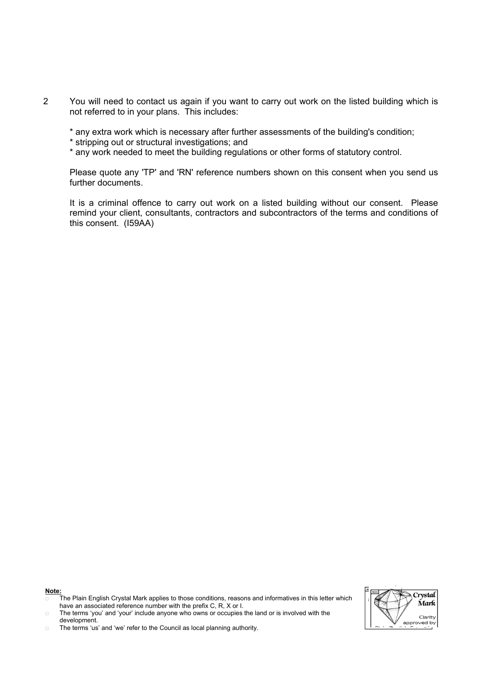- 2 You will need to contact us again if you want to carry out work on the listed building which is not referred to in your plans. This includes:
	- \* any extra work which is necessary after further assessments of the building's condition;
	- \* stripping out or structural investigations; and
	- \* any work needed to meet the building regulations or other forms of statutory control.

Please quote any 'TP' and 'RN' reference numbers shown on this consent when you send us further documents.

It is a criminal offence to carry out work on a listed building without our consent. Please remind your client, consultants, contractors and subcontractors of the terms and conditions of this consent. (I59AA)

**Note:**

The terms 'us' and 'we' refer to the Council as local planning authority.



The Plain English Crystal Mark applies to those conditions, reasons and informatives in this letter which have an associated reference number with the prefix C, R, X or I.

The terms 'you' and 'your' include anyone who owns or occupies the land or is involved with the development.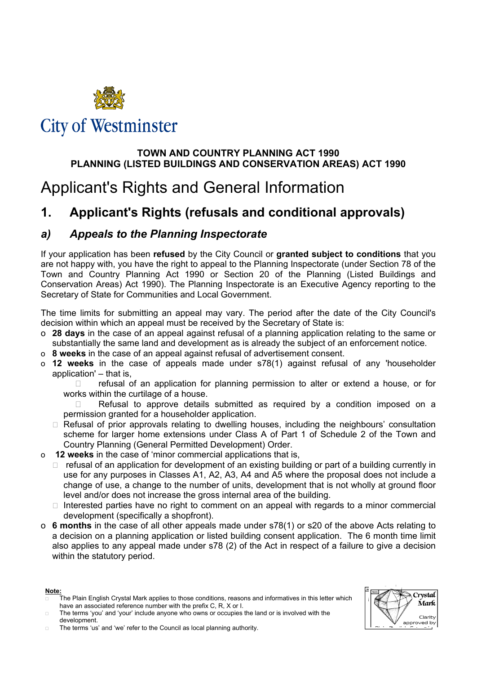

# **City of Westminster**

# **TOWN AND COUNTRY PLANNING ACT 1990 PLANNING (LISTED BUILDINGS AND CONSERVATION AREAS) ACT 1990**

# Applicant's Rights and General Information

# **1. Applicant's Rights (refusals and conditional approvals)**

# *a) Appeals to the Planning Inspectorate*

If your application has been **refused** by the City Council or **granted subject to conditions** that you are not happy with, you have the right to appeal to the Planning Inspectorate (under Section 78 of the Town and Country Planning Act 1990 or Section 20 of the Planning (Listed Buildings and Conservation Areas) Act 1990). The Planning Inspectorate is an Executive Agency reporting to the Secretary of State for Communities and Local Government.

The time limits for submitting an appeal may vary. The period after the date of the City Council's decision within which an appeal must be received by the Secretary of State is:

- o **28 days** in the case of an appeal against refusal of a planning application relating to the same or substantially the same land and development as is already the subject of an enforcement notice.
- o **8 weeks** in the case of an appeal against refusal of advertisement consent.
- o **12 weeks** in the case of appeals made under s78(1) against refusal of any 'householder application' – that is,

 $\Box$  refusal of an application for planning permission to alter or extend a house, or for works within the curtilage of a house.

 Refusal to approve details submitted as required by a condition imposed on a permission granted for a householder application.

- $\Box$  Refusal of prior approvals relating to dwelling houses, including the neighbours' consultation scheme for larger home extensions under Class A of Part 1 of Schedule 2 of the Town and Country Planning (General Permitted Development) Order.
- o **12 weeks** in the case of 'minor commercial applications that is,
	- $\Box$  refusal of an application for development of an existing building or part of a building currently in use for any purposes in Classes A1, A2, A3, A4 and A5 where the proposal does not include a change of use, a change to the number of units, development that is not wholly at ground floor level and/or does not increase the gross internal area of the building.
	- $\Box$  Interested parties have no right to comment on an appeal with regards to a minor commercial development (specifically a shopfront).
- o **6 months** in the case of all other appeals made under s78(1) or s20 of the above Acts relating to a decision on a planning application or listed building consent application. The 6 month time limit also applies to any appeal made under s78 (2) of the Act in respect of a failure to give a decision within the statutory period.

Crystal **Mark** Clarity approved by

The Plain English Crystal Mark applies to those conditions, reasons and informatives in this letter which have an associated reference number with the prefix C, R, X or I.

The terms 'you' and 'your' include anyone who owns or occupies the land or is involved with the development.

The terms 'us' and 'we' refer to the Council as local planning authority.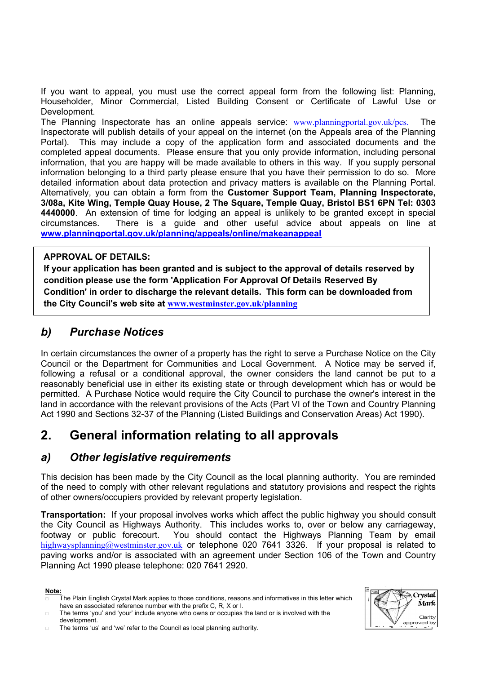If you want to appeal, you must use the correct appeal form from the following list: Planning, Householder, Minor Commercial, Listed Building Consent or Certificate of Lawful Use or Development.

The Planning Inspectorate has an online appeals service: [www.planningportal.gov.uk/pcs](http://www.planningportal.gov.uk/). The Inspectorate will publish details of your appeal on the internet (on the Appeals area of the Planning Portal). This may include a copy of the application form and associated documents and the completed appeal documents. Please ensure that you only provide information, including personal information, that you are happy will be made available to others in this way. If you supply personal information belonging to a third party please ensure that you have their permission to do so. More detailed information about data protection and privacy matters is available on the Planning Portal. Alternatively, you can obtain a form from the **Customer Support Team, Planning Inspectorate, 3/08a, Kite Wing, Temple Quay House, 2 The Square, Temple Quay, Bristol BS1 6PN Tel: 0303 4440000**. An extension of time for lodging an appeal is unlikely to be granted except in special circumstances. There is a guide and other useful advice about appeals on line at **www.planningportal.gov.uk/planning/appeals/online/makeanappeal**

## **APPROVAL OF DETAILS:**

**If your application has been granted and is subject to the approval of details reserved by condition please use the form 'Application For Approval Of Details Reserved By Condition' in order to discharge the relevant details. This form can be downloaded from the City Council's web site at [www.westminster.gov.uk/planning](http://www.westminster.gov.uk/planning)**

# *b) Purchase Notices*

In certain circumstances the owner of a property has the right to serve a Purchase Notice on the City Council or the Department for Communities and Local Government. A Notice may be served if, following a refusal or a conditional approval, the owner considers the land cannot be put to a reasonably beneficial use in either its existing state or through development which has or would be permitted. A Purchase Notice would require the City Council to purchase the owner's interest in the land in accordance with the relevant provisions of the Acts (Part VI of the Town and Country Planning Act 1990 and Sections 32-37 of the Planning (Listed Buildings and Conservation Areas) Act 1990).

# **2. General information relating to all approvals**

# *a) Other legislative requirements*

This decision has been made by the City Council as the local planning authority. You are reminded of the need to comply with other relevant regulations and statutory provisions and respect the rights of other owners/occupiers provided by relevant property legislation.

**Transportation:** If your proposal involves works which affect the public highway you should consult the City Council as Highways Authority. This includes works to, over or below any carriageway, footway or public forecourt. You should contact the Highways Planning Team by email [highwaysplanning@westminster.gov.uk](mailto:highwaysplanning@westminster.gov.uk) or telephone 020 7641 3326. If your proposal is related to paving works and/or is associated with an agreement under Section 106 of the Town and Country Planning Act 1990 please telephone: 020 7641 2920.

### **Note:**

 The Plain English Crystal Mark applies to those conditions, reasons and informatives in this letter which have an associated reference number with the prefix C, R, X or I.



The terms 'you' and 'your' include anyone who owns or occupies the land or is involved with the development.

The terms 'us' and 'we' refer to the Council as local planning authority.